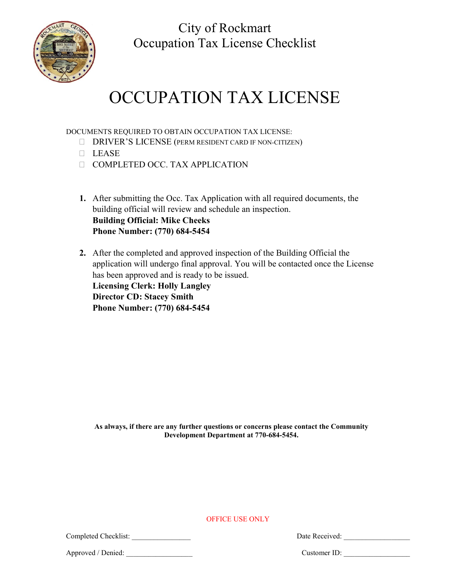City of Rockmart Occupation Tax License Checklist



# OCCUPATION TAX LICENSE

DOCUMENTS REQUIRED TO OBTAIN OCCUPATION TAX LICENSE:

- DRIVER'S LICENSE (PERM RESIDENT CARD IF NON-CITIZEN)
- $LE$ ASE
- COMPLETED OCC. TAX APPLICATION
- **1.** After submitting the Occ. Tax Application with all required documents, the building official will review and schedule an inspection. **Building Official: Mike Cheeks Phone Number: (770) 684-5454**
- **2.** After the completed and approved inspection of the Building Official the application will undergo final approval. You will be contacted once the License has been approved and is ready to be issued. **Licensing Clerk: Holly Langley Director CD: Stacey Smith Phone Number: (770) 684-5454**

**As always, if there are any further questions or concerns please contact the Community Development Department at 770-684-5454.**

OFFICE USE ONLY

Completed Checklist: \_\_\_\_\_\_\_\_\_\_\_\_\_\_\_\_ Date Received: \_\_\_\_\_\_\_\_\_\_\_\_\_\_\_\_\_\_

Approved / Denied: \_\_\_\_\_\_\_\_\_\_\_\_\_\_\_\_\_\_ Customer ID: \_\_\_\_\_\_\_\_\_\_\_\_\_\_\_\_\_\_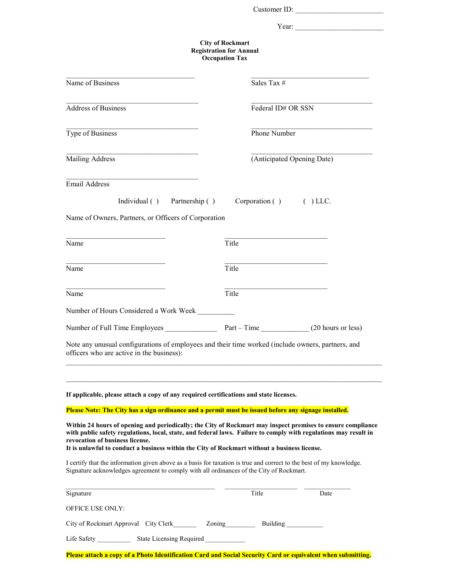|                                                                                                                                                                                                                                                                                                                                                                    |                                                                                    |                        | Customer ID:               |
|--------------------------------------------------------------------------------------------------------------------------------------------------------------------------------------------------------------------------------------------------------------------------------------------------------------------------------------------------------------------|------------------------------------------------------------------------------------|------------------------|----------------------------|
|                                                                                                                                                                                                                                                                                                                                                                    |                                                                                    |                        |                            |
|                                                                                                                                                                                                                                                                                                                                                                    | <b>City of Rockmart</b><br><b>Registration for Annual</b><br><b>Occupation Tax</b> |                        |                            |
| Name of Business                                                                                                                                                                                                                                                                                                                                                   |                                                                                    | Sales Tax #            |                            |
| Address of Business                                                                                                                                                                                                                                                                                                                                                |                                                                                    | Federal ID# OR SSN     |                            |
| Type of Business                                                                                                                                                                                                                                                                                                                                                   |                                                                                    | Phone Number           |                            |
| Mailing Address                                                                                                                                                                                                                                                                                                                                                    |                                                                                    |                        | (Anticipated Opening Date) |
| <b>Email Address</b>                                                                                                                                                                                                                                                                                                                                               |                                                                                    |                        |                            |
| Individual () Partnership ()                                                                                                                                                                                                                                                                                                                                       |                                                                                    | Corporation () () LLC. |                            |
| Name of Owners, Partners, or Officers of Corporation                                                                                                                                                                                                                                                                                                               |                                                                                    |                        |                            |
| Name                                                                                                                                                                                                                                                                                                                                                               | Title                                                                              |                        |                            |
| Name                                                                                                                                                                                                                                                                                                                                                               | Title                                                                              |                        |                            |
| Name                                                                                                                                                                                                                                                                                                                                                               | Title                                                                              |                        |                            |
| Number of Hours Considered a Work Week                                                                                                                                                                                                                                                                                                                             |                                                                                    |                        |                            |
| Number of Full Time Employees                                                                                                                                                                                                                                                                                                                                      | Part – Time                                                                        |                        | (20 hours or less)         |
| Note any unusual configurations of employees and their time worked (include owners, partners, and<br>officers who are active in the business):                                                                                                                                                                                                                     |                                                                                    |                        |                            |
| If applicable, please attach a copy of any required certifications and state licenses.                                                                                                                                                                                                                                                                             |                                                                                    |                        |                            |
| Please Note: The City has a sign ordinance and a permit must be issued before any signage installed.                                                                                                                                                                                                                                                               |                                                                                    |                        |                            |
| Within 24 hours of opening and periodically; the City of Rockmart may inspect premises to ensure compliance<br>with public safety regulations, local, state, and federal laws. Failure to comply with regulations may result in<br>revocation of business license.<br>It is unlawful to conduct a business within the City of Rockmart without a business license. |                                                                                    |                        |                            |
| I certify that the information given above as a basis for taxation is true and correct to the best of my knowledge.<br>Signature acknowledges agreement to comply with all ordinances of the City of Rockmart.                                                                                                                                                     |                                                                                    |                        |                            |
| Signature                                                                                                                                                                                                                                                                                                                                                          |                                                                                    | Title                  | Date                       |
| OFFICE USE ONLY:                                                                                                                                                                                                                                                                                                                                                   |                                                                                    |                        |                            |
| City of Rockmart Approval City Clerk Zoning Zoning                                                                                                                                                                                                                                                                                                                 |                                                                                    | <b>Building</b>        |                            |
| Life Safety _____________ State Licensing Required                                                                                                                                                                                                                                                                                                                 |                                                                                    |                        |                            |

**Please attach a copy of a Photo Identification Card and Social Security Card or equivalent when submitting.**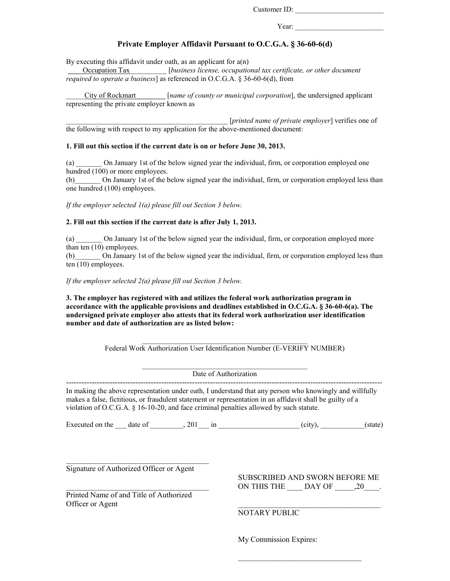Customer ID: \_\_\_\_\_\_\_\_\_\_\_\_\_\_\_\_\_\_\_\_\_\_\_\_

Year:

#### **Private Employer Affidavit Pursuant to O.C.G.A. § 36-60-6(d)**

By executing this affidavit under oath, as an applicant for  $a(n)$ 

\_\_\_\_Occupation Tax\_\_\_\_\_\_\_\_\_\_ [*business license, occupational tax certificate, or other document required to operate a business*] as referenced in O.C.G.A. § 36-60-6(d), from

\_\_\_\_\_City of Rockmart\_\_\_\_\_\_\_\_ [*name of county or municipal corporation*], the undersigned applicant representing the private employer known as

\_\_\_\_\_\_\_\_\_\_\_\_\_\_\_\_\_\_\_\_\_\_\_\_\_\_\_\_\_\_\_\_\_\_\_\_\_\_\_\_\_\_\_\_ [*printed name of private employer*] verifies one of the following with respect to my application for the above-mentioned document:

#### **1. Fill out this section if the current date is on or before June 30, 2013.**

(a) \_\_\_\_\_\_\_ On January 1st of the below signed year the individual, firm, or corporation employed one hundred (100) or more employees.

(b)\_\_\_\_\_\_\_ On January 1st of the below signed year the individual, firm, or corporation employed less than one hundred (100) employees.

*If the employer selected 1(a) please fill out Section 3 below.* 

#### **2. Fill out this section if the current date is after July 1, 2013.**

(a) \_\_\_\_\_\_\_ On January 1st of the below signed year the individual, firm, or corporation employed more than ten (10) employees.

(b)\_\_\_\_\_\_\_ On January 1st of the below signed year the individual, firm, or corporation employed less than ten (10) employees.

*If the employer selected 2(a) please fill out Section 3 below.* 

**3. The employer has registered with and utilizes the federal work authorization program in accordance with the applicable provisions and deadlines established in O.C.G.A. § 36-60-6(a). The undersigned private employer also attests that its federal work authorization user identification number and date of authorization are as listed below:** 

> \_\_\_\_\_\_\_\_\_\_\_\_\_\_\_\_\_\_\_\_\_\_\_\_\_\_\_\_\_\_\_\_\_\_\_\_\_\_\_\_\_\_\_\_\_ Federal Work Authorization User Identification Number (E-VERIFY NUMBER)

#### \_\_\_\_\_\_\_\_\_\_\_\_\_\_\_\_\_\_\_\_\_\_\_\_\_\_\_\_\_\_\_\_\_\_\_\_\_\_\_\_\_\_\_\_\_ Date of Authorization

--------------------------------------------------------------------------------------------------------------------------- In making the above representation under oath, I understand that any person who knowingly and willfully makes a false, fictitious, or fraudulent statement or representation in an affidavit shall be guilty of a violation of O.C.G.A. § 16-10-20, and face criminal penalties allowed by such statute.

Executed on the  $\alpha$  date of  $\alpha$ , 201 in  $\alpha$  (city),  $\alpha$  (state)

Signature of Authorized Officer or Agent

 $\mathcal{L}_\text{max}$  , where  $\mathcal{L}_\text{max}$  is the set of the set of the set of the set of the set of the set of the set of the set of the set of the set of the set of the set of the set of the set of the set of the set of the se

 $\mathcal{L}_\text{max}$  , where  $\mathcal{L}_\text{max}$  and  $\mathcal{L}_\text{max}$  and  $\mathcal{L}_\text{max}$ 

Printed Name of and Title of Authorized Officer or Agent

SUBSCRIBED AND SWORN BEFORE ME ON THIS THE DAY OF  $,20$ .

 $\mathcal{L}_\text{max}$ 

 $\mathcal{L}_\text{max}$  , where  $\mathcal{L}_\text{max}$  is the set of the set of the set of the set of the set of the set of the set of the set of the set of the set of the set of the set of the set of the set of the set of the set of the se NOTARY PUBLIC

My Commission Expires: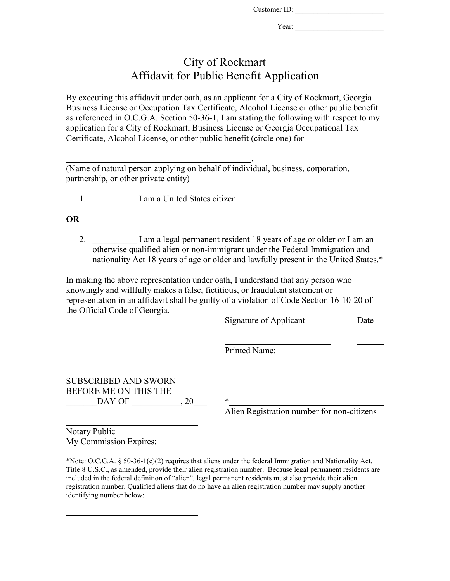Customer ID: \_\_\_\_\_\_\_\_\_\_\_\_\_\_\_\_\_\_\_\_\_\_\_\_

Year:

## City of Rockmart Affidavit for Public Benefit Application

By executing this affidavit under oath, as an applicant for a City of Rockmart, Georgia Business License or Occupation Tax Certificate, Alcohol License or other public benefit as referenced in O.C.G.A. Section 50-36-1, I am stating the following with respect to my application for a City of Rockmart, Business License or Georgia Occupational Tax Certificate, Alcohol License, or other public benefit (circle one) for

.

(Name of natural person applying on behalf of individual, business, corporation, partnership, or other private entity)

1. I am a United States citizen

### **OR**

2. I am a legal permanent resident 18 years of age or older or I am an otherwise qualified alien or non-immigrant under the Federal Immigration and nationality Act 18 years of age or older and lawfully present in the United States.\*

In making the above representation under oath, I understand that any person who knowingly and willfully makes a false, fictitious, or fraudulent statement or representation in an affidavit shall be guilty of a violation of Code Section 16-10-20 of the Official Code of Georgia.

|                                                                       | Signature of Applicant                     | Date |
|-----------------------------------------------------------------------|--------------------------------------------|------|
|                                                                       | Printed Name:                              |      |
| <b>SUBSCRIBED AND SWORN</b><br>BEFORE ME ON THIS THE<br>DAY OF<br>.20 | *                                          |      |
|                                                                       | Alien Registration number for non-citizens |      |

Notary Public My Commission Expires:

\*Note: O.C.G.A. § 50-36-1(e)(2) requires that aliens under the federal Immigration and Nationality Act, Title 8 U.S.C., as amended, provide their alien registration number. Because legal permanent residents are included in the federal definition of "alien", legal permanent residents must also provide their alien registration number. Qualified aliens that do no have an alien registration number may supply another identifying number below: